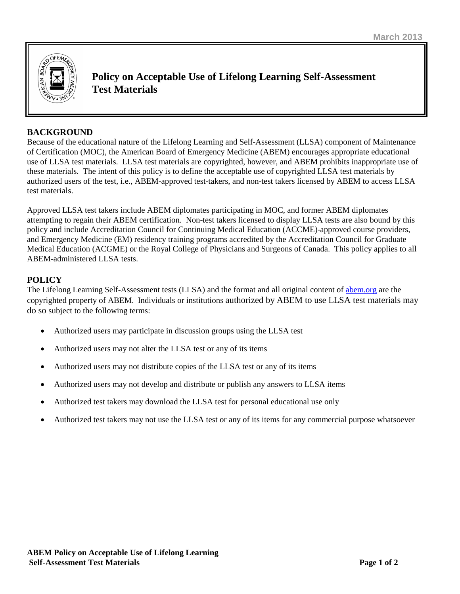

**Policy on Acceptable Use of Lifelong Learning Self-Assessment Test Materials**

# **BACKGROUND**

Because of the educational nature of the Lifelong Learning and Self-Assessment (LLSA) component of Maintenance of Certification (MOC), the American Board of Emergency Medicine (ABEM) encourages appropriate educational use of LLSA test materials. LLSA test materials are copyrighted, however, and ABEM prohibits inappropriate use of these materials. The intent of this policy is to define the acceptable use of copyrighted LLSA test materials by authorized users of the test, i.e., ABEM-approved test-takers, and non-test takers licensed by ABEM to access LLSA test materials.

Approved LLSA test takers include ABEM diplomates participating in MOC, and former ABEM diplomates attempting to regain their ABEM certification. Non-test takers licensed to display LLSA tests are also bound by this policy and include Accreditation Council for Continuing Medical Education (ACCME)-approved course providers, and Emergency Medicine (EM) residency training programs accredited by the Accreditation Council for Graduate Medical Education (ACGME) or the Royal College of Physicians and Surgeons of Canada. This policy applies to all ABEM-administered LLSA tests.

# **POLICY**

The Lifelong Learning Self-Assessment tests (LLSA) and the format and all original content of [abem.org](http://www.abem.org/) are the copyrighted property of ABEM. Individuals or institutions authorized by ABEM to use LLSA test materials may do so subject to the following terms:

- Authorized users may participate in discussion groups using the LLSA test
- Authorized users may not alter the LLSA test or any of its items
- Authorized users may not distribute copies of the LLSA test or any of its items
- Authorized users may not develop and distribute or publish any answers to LLSA items
- Authorized test takers may download the LLSA test for personal educational use only
- Authorized test takers may not use the LLSA test or any of its items for any commercial purpose whatsoever